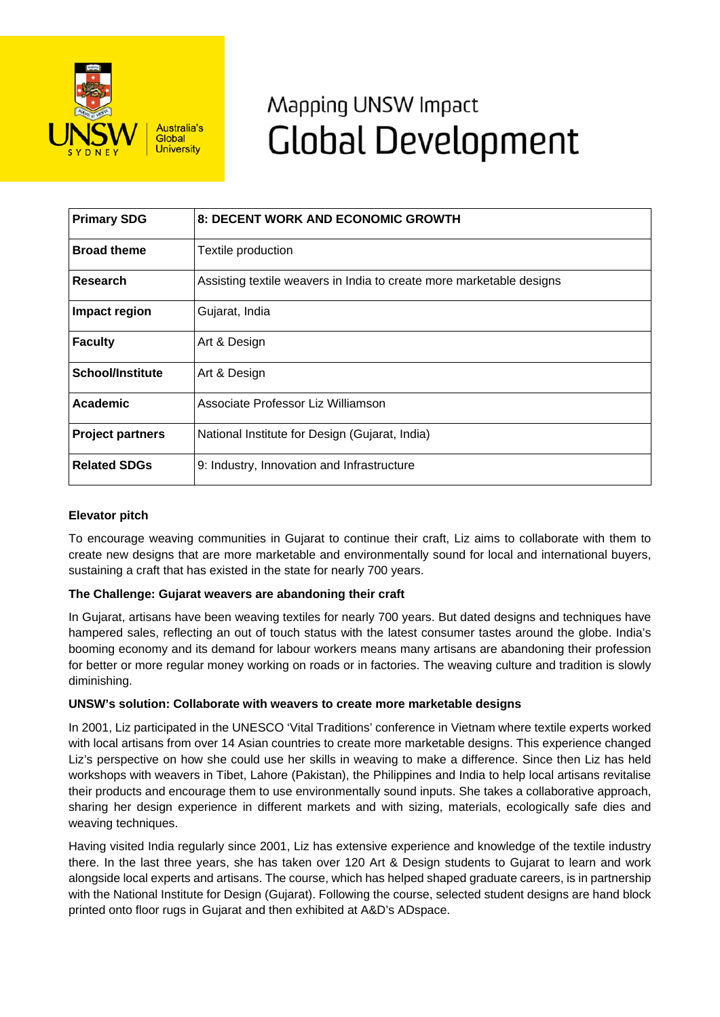

# Mapping UNSW Impact **Global Development**

| <b>Primary SDG</b>      | <b>8: DECENT WORK AND ECONOMIC GROWTH</b>                            |
|-------------------------|----------------------------------------------------------------------|
| <b>Broad theme</b>      | Textile production                                                   |
| Research                | Assisting textile weavers in India to create more marketable designs |
| Impact region           | Gujarat, India                                                       |
| <b>Faculty</b>          | Art & Design                                                         |
| <b>School/Institute</b> | Art & Design                                                         |
| Academic                | Associate Professor Liz Williamson                                   |
| <b>Project partners</b> | National Institute for Design (Gujarat, India)                       |
| <b>Related SDGs</b>     | 9: Industry, Innovation and Infrastructure                           |

## **Elevator pitch**

To encourage weaving communities in Gujarat to continue their craft, Liz aims to collaborate with them to create new designs that are more marketable and environmentally sound for local and international buyers, sustaining a craft that has existed in the state for nearly 700 years.

### **The Challenge: Gujarat weavers are abandoning their craft**

In Gujarat, artisans have been weaving textiles for nearly 700 years. But dated designs and techniques have hampered sales, reflecting an out of touch status with the latest consumer tastes around the globe. India's booming economy and its demand for labour workers means many artisans are abandoning their profession for better or more regular money working on roads or in factories. The weaving culture and tradition is slowly diminishing.

### **UNSW's solution: Collaborate with weavers to create more marketable designs**

In 2001, Liz participated in the UNESCO 'Vital Traditions' conference in Vietnam where textile experts worked with local artisans from over 14 Asian countries to create more marketable designs. This experience changed Liz's perspective on how she could use her skills in weaving to make a difference. Since then Liz has held workshops with weavers in Tibet, Lahore (Pakistan), the Philippines and India to help local artisans revitalise their products and encourage them to use environmentally sound inputs. She takes a collaborative approach, sharing her design experience in different markets and with sizing, materials, ecologically safe dies and weaving techniques.

Having visited India regularly since 2001, Liz has extensive experience and knowledge of the textile industry there. In the last three years, she has taken over 120 Art & Design students to Gujarat to learn and work alongside local experts and artisans. The course, which has helped shaped graduate careers, is in partnership with the National Institute for Design (Guiarat). Following the course, selected student designs are hand block printed onto floor rugs in Gujarat and then exhibited at A&D's ADspace.